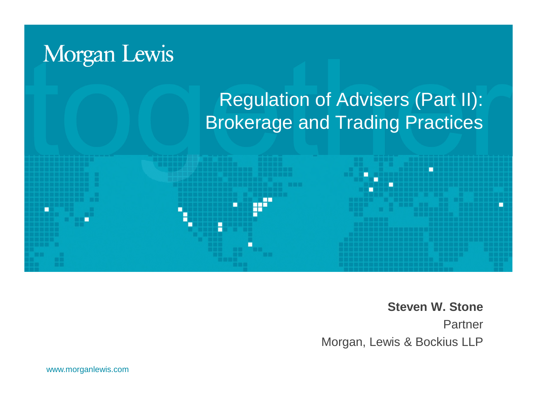

**Steven W. Stone** Partner Morgan, Lewis & Bockius LLP

www.morganlewis.com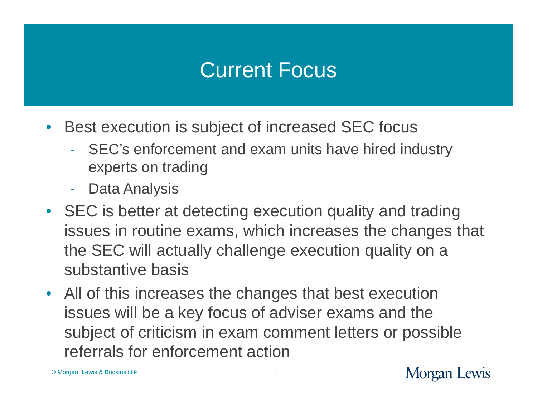# Current Focus

- Best execution is subject of increased SEC focus
	- SEC's enforcement and exam units have hired industry experts on trading
	- Data Analysis
- SEC is better at detecting execution quality and trading issues in routine exams, which increases the changes that the SEC will actually challenge execution quality on a substantive basis
- All of this increases the changes that best execution issues will be a key focus of adviser exams and the subject of criticism in exam comment letters or possible referrals for enforcement action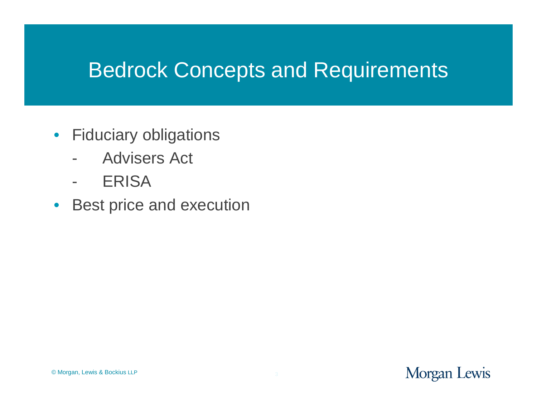## Bedrock Concepts and Requirements

- Fiduciary obligations
	- Advisers Act
	- ERISA
- Best price and execution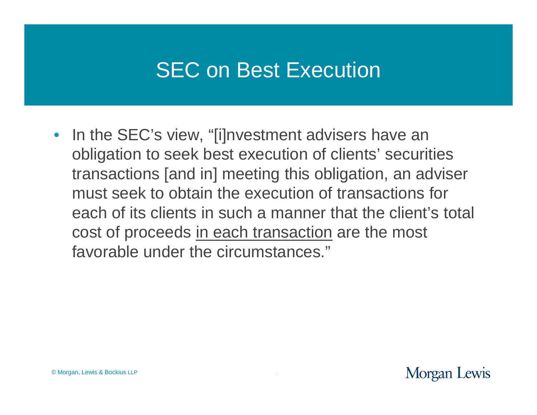# SEC on Best Execution

• In the SEC's view, "[i]nvestment advisers have an obligation to seek best execution of clients' securities transactions [and in] meeting this obligation, an adviser must seek to obtain the execution of transactions for each of its clients in such a manner that the client's total cost of proceeds in each transaction are the most favorable under the circumstances."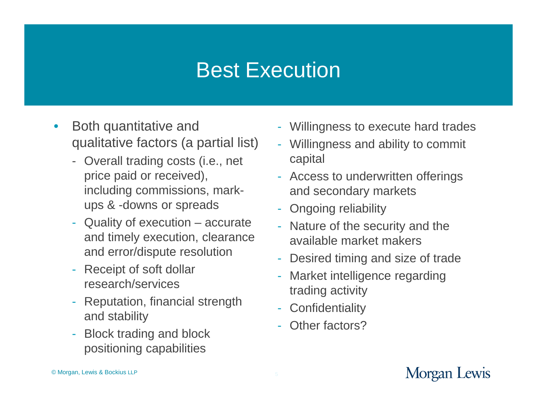#### Best Execution

- Both quantitative and qualitative factors (a partial list)
	- Overall trading costs (i.e., net price paid or received), including commissions, markups & -downs or spreads
	- Quality of execution accurate and timely execution, clearance and error/dispute resolution
	- Receipt of soft dollar research/services
	- Reputation, financial strength and stability
	- Block trading and block positioning capabilities
- Willingness to execute hard trades
- Willingness and ability to commit capital
- Access to underwritten offerings and secondary markets
- Ongoing reliability
- Nature of the security and the available market makers
- Desired timing and size of trade
- Market intelligence regarding trading activity
- Confidentiality
- Other factors?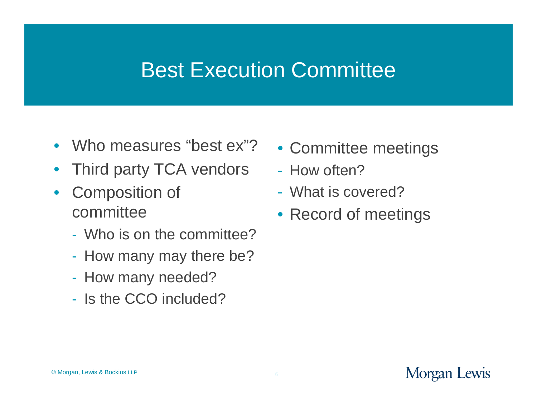#### Best Execution Committee

- Who measures "best ex"?
- Third party TCA vendors
- Composition of committee
	- Who is on the committee?
	- How many may there be?
	- How many needed?
	- Is the CCO included?
- Committee meetings
- How often?
- What is covered?
- Record of meetings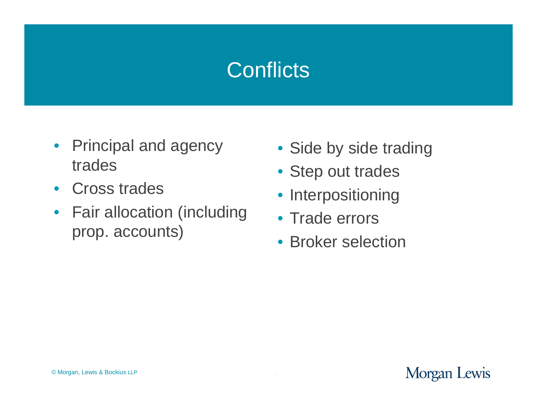# **Conflicts**

- Principal and agency trades
- Cross trades
- Fair allocation (including prop. accounts)
- Side by side trading
- Step out trades
- Interpositioning
- Trade errors
- Broker selection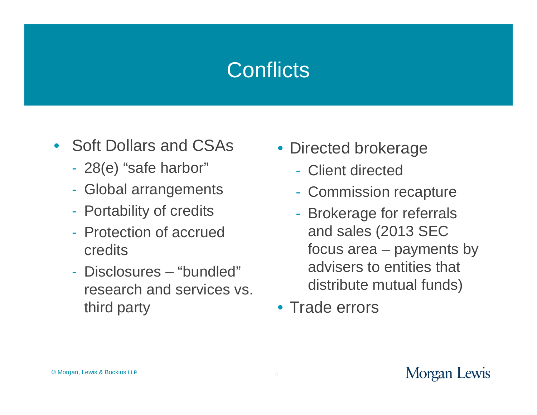# **Conflicts**

- Soft Dollars and CSAs
	- 28(e) "safe harbor"
	- Global arrangements
	- Portability of credits
	- Protection of accrued credits
	- Disclosures "bundled" research and services vs. third party
- Directed brokerage
	- Client directed
	- Commission recapture
	- Brokerage for referrals and sales (2013 SEC focus area – payments by advisers to entities that distribute mutual funds)
- Trade errors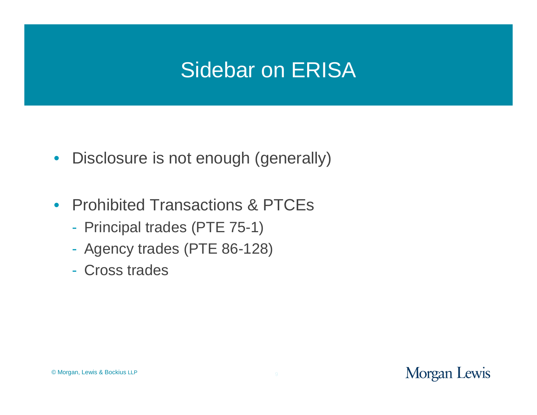# Sidebar on ERISA

- Disclosure is not enough (generally)
- Prohibited Transactions & PTCEs
	- Principal trades (PTE 75-1)
	- Agency trades (PTE 86-128)
	- Cross trades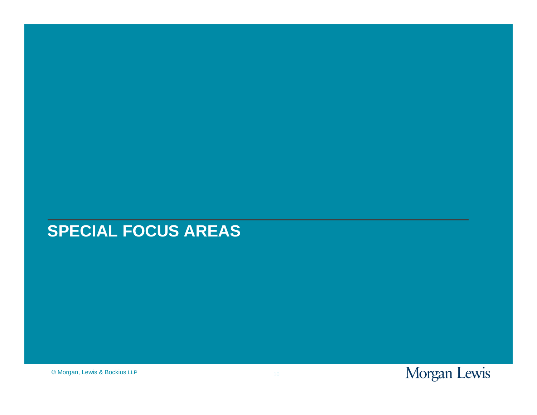#### **SPECIAL FOCUS AREAS**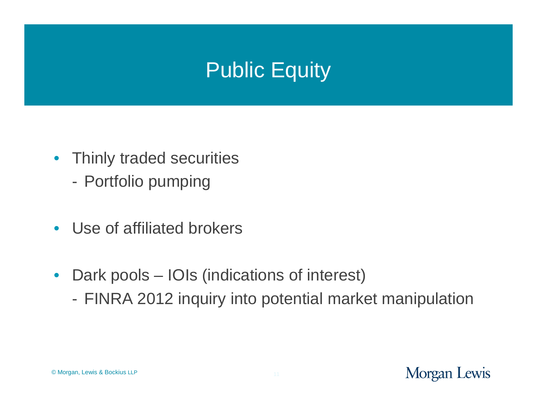# Public Equity

- Thinly traded securities
	- Portfolio pumping
- Use of affiliated brokers
- Dark pools IOIs (indications of interest)
	- FINRA 2012 inquiry into potential market manipulation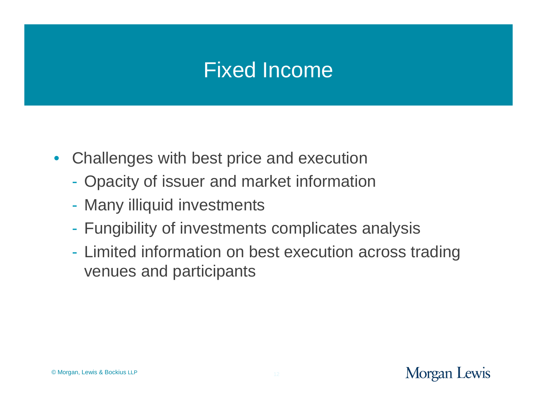# Fixed Income

- Challenges with best price and execution
	- Opacity of issuer and market information
	- Many illiquid investments
	- Fungibility of investments complicates analysis
	- Limited information on best execution across trading venues and participants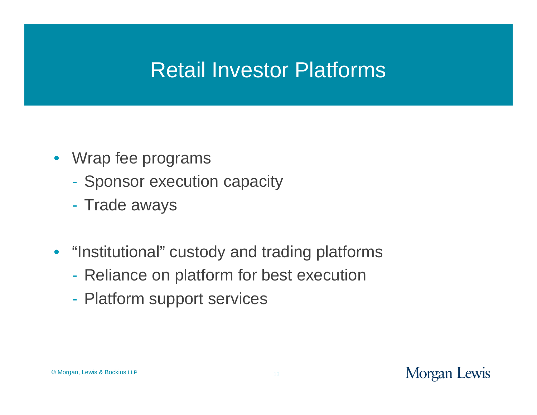# Retail Investor Platforms

- Wrap fee programs
	- Sponsor execution capacity
	- Trade aways
- "Institutional" custody and trading platforms
	- Reliance on platform for best execution
	- Platform support services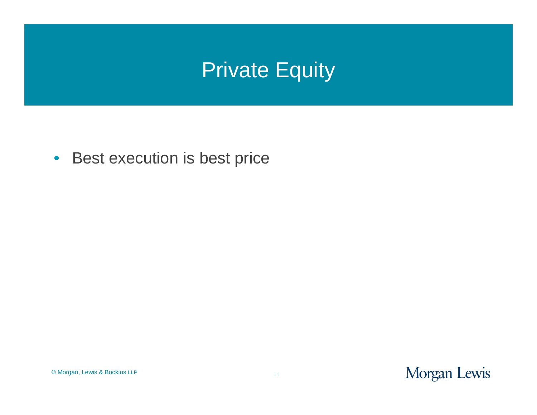# **Private Equity**

• Best execution is best price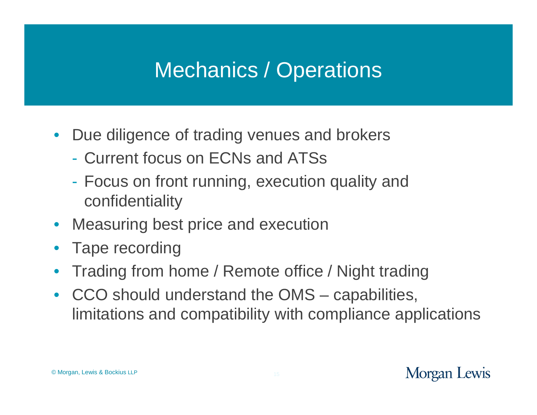# Mechanics / Operations

- Due diligence of trading venues and brokers
	- Current focus on ECNs and ATSs
	- Focus on front running, execution quality and confidentiality
- Measuring best price and execution
- Tape recording
- Trading from home / Remote office / Night trading
- CCO should understand the OMS capabilities, limitations and compatibility with compliance applications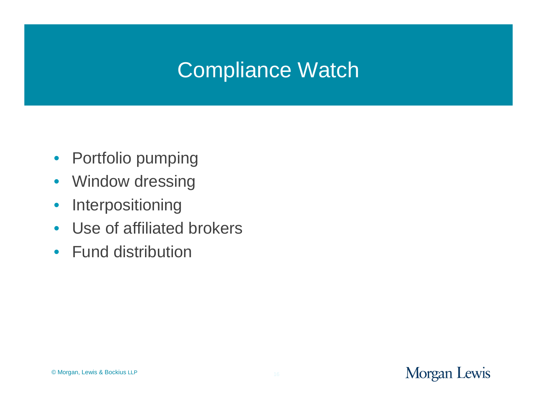# Compliance Watch

- Portfolio pumping
- Window dressing
- Interpositioning
- Use of affiliated brokers
- Fund distribution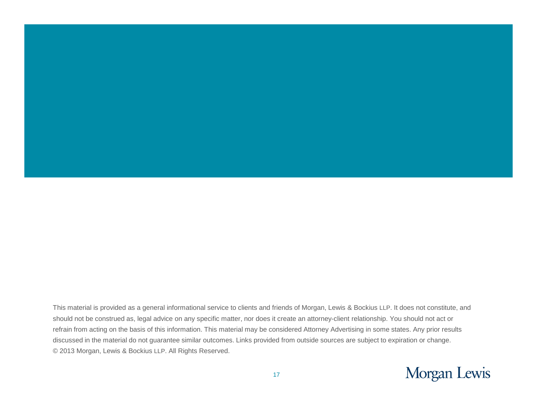This material is provided as a general informational service to clients and friends of Morgan, Lewis & Bockius LLP. It does not constitute, and should not be construed as, legal advice on any specific matter, nor does it create an attorney-client relationship. You should not act or refrain from acting on the basis of this information. This material may be considered Attorney Advertising in some states. Any prior results discussed in the material do not guarantee similar outcomes. Links provided from outside sources are subject to expiration or change. © 2013 Morgan, Lewis & Bockius LLP. All Rights Reserved.